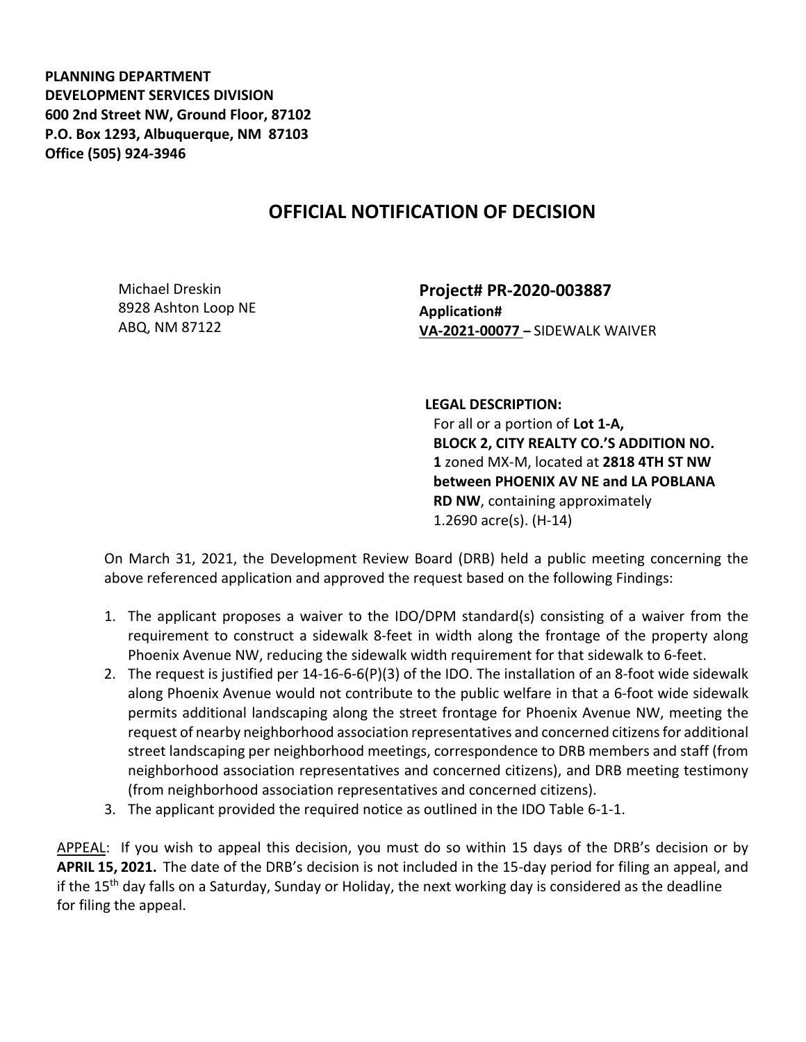**PLANNING DEPARTMENT DEVELOPMENT SERVICES DIVISION 600 2nd Street NW, Ground Floor, 87102 P.O. Box 1293, Albuquerque, NM 87103 Office (505) 924-3946** 

## **OFFICIAL NOTIFICATION OF DECISION**

Michael Dreskin 8928 Ashton Loop NE ABQ, NM 87122

**Project# PR-2020-003887 Application# VA-2021-00077 –** SIDEWALK WAIVER

**LEGAL DESCRIPTION:**

For all or a portion of **Lot 1-A, BLOCK 2, CITY REALTY CO.'S ADDITION NO. 1** zoned MX-M, located at **2818 4TH ST NW between PHOENIX AV NE and LA POBLANA RD NW**, containing approximately 1.2690 acre(s). (H-14)

On March 31, 2021, the Development Review Board (DRB) held a public meeting concerning the above referenced application and approved the request based on the following Findings:

- 1. The applicant proposes a waiver to the IDO/DPM standard(s) consisting of a waiver from the requirement to construct a sidewalk 8-feet in width along the frontage of the property along Phoenix Avenue NW, reducing the sidewalk width requirement for that sidewalk to 6-feet.
- 2. The request is justified per 14-16-6-6(P)(3) of the IDO. The installation of an 8-foot wide sidewalk along Phoenix Avenue would not contribute to the public welfare in that a 6-foot wide sidewalk permits additional landscaping along the street frontage for Phoenix Avenue NW, meeting the request of nearby neighborhood association representatives and concerned citizensfor additional street landscaping per neighborhood meetings, correspondence to DRB members and staff (from neighborhood association representatives and concerned citizens), and DRB meeting testimony (from neighborhood association representatives and concerned citizens).
- 3. The applicant provided the required notice as outlined in the IDO Table 6-1-1.

APPEAL: If you wish to appeal this decision, you must do so within 15 days of the DRB's decision or by **APRIL 15, 2021.** The date of the DRB's decision is not included in the 15-day period for filing an appeal, and if the 15<sup>th</sup> day falls on a Saturday, Sunday or Holiday, the next working day is considered as the deadline for filing the appeal.